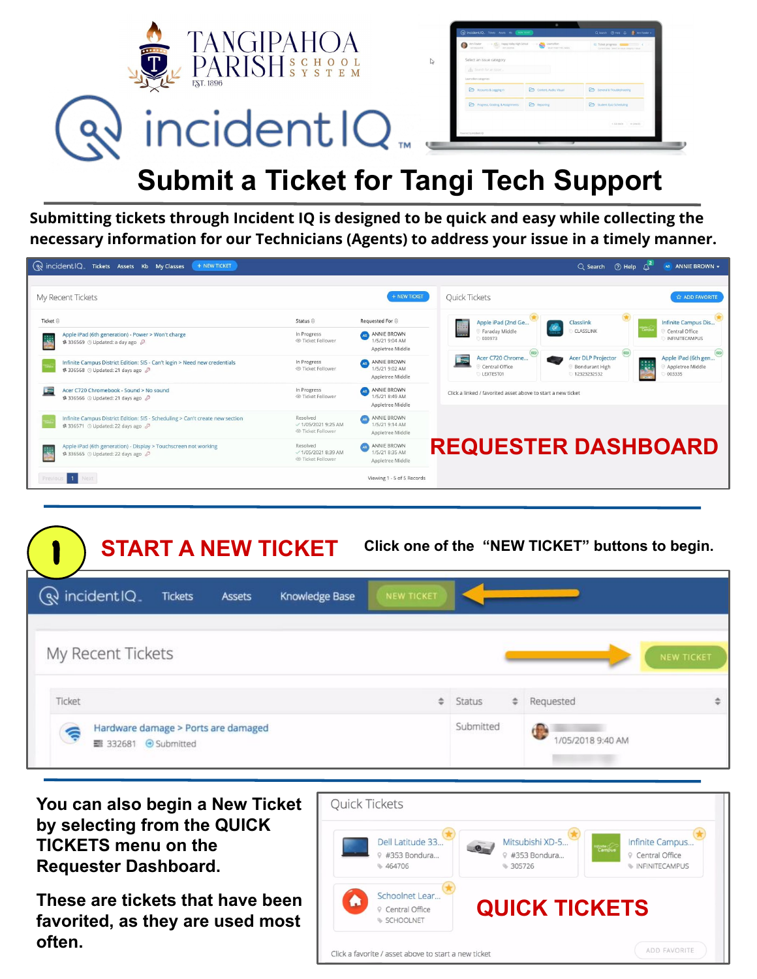

**Submitting tickets through Incident IQ is designed to be quick and easy while collecting the necessary information for our Technicians (Agents) to address your issue in a timely manner.**

| ( wincident IQ Tickets Assets Kb My Classes<br>+ NEW TICKET                                                        |                                                             |                                                   |                                                                              | $Q$ Search $Q$ Help $\triangle^2$                                      | AB ANNIE BROWN -                                                          |
|--------------------------------------------------------------------------------------------------------------------|-------------------------------------------------------------|---------------------------------------------------|------------------------------------------------------------------------------|------------------------------------------------------------------------|---------------------------------------------------------------------------|
|                                                                                                                    |                                                             |                                                   |                                                                              |                                                                        |                                                                           |
| My Recent Tickets                                                                                                  |                                                             | + NEW TICKET                                      | <b>Ouick Tickets</b>                                                         |                                                                        | <b>ADD FAVORITE</b>                                                       |
| Ticket $\oplus$                                                                                                    | Status $\oplus$                                             | Requested For $\oplus$                            | Apple iPad (2nd Ge                                                           | Classlink                                                              | Infinite Campus Dis                                                       |
| Apple iPad (6th generation) - Power > Won't charge<br>\$336569 ① Updated: a day ago 2<br>نكف                       | In Progress<br>© Ticket Follower                            | ANNIE BROWN<br>1/5/21 9:04 AM<br>Appletree Middle | Faraday Middle<br>000973                                                     | CLASSLINK                                                              | Central Office<br>INFINITECAMPUS                                          |
| Infinite Campus District Edition: SIS - Can't login > Need new credentials<br>\$336568 © Updated: 21 days ago 2    | In Progress<br>© Ticket Follower                            | ANNIE BROWN<br>1/5/21 9:02 AM<br>Appletree Middle | $\overline{\mathbf{H}_m}$<br>Acer C720 Chrome<br>Central Office<br>LEXTEST01 | G<br><b>Acer DLP Projector</b><br><b>Bondurant High</b><br>12323232532 | $\circ$<br>Apple iPad (6th gen<br>(12)<br>Appletree Middle<br>ক<br>003335 |
| Acer C720 Chromebook - Sound > No sound<br>\$336566 @ Updated: 21 days ago 2                                       | In Progress<br>© Ticket Follower                            | ANNIE BROWN<br>1/5/21 8:49 AM<br>Appletree Middle | Click a linked / favorited asset above to start a new ticket                 |                                                                        |                                                                           |
| Infinite Campus District Edition: SIS - Scheduling > Can't create new section<br>\$336571 @ Updated: 22 days ago 2 | Resolved<br>$-1/05/20219:25AM$<br>© Ticket Follower         | ANNIE BROWN<br>1/5/21 9:14 AM<br>Appletree Middle |                                                                              |                                                                        |                                                                           |
| Apple iPad (6th generation) - Display > Touchscreen not working<br>\$336565 ① Updated: 22 days ago 2               | Resolved<br>$\sqrt{1/05/2021}$ 8:39 AM<br>© Ticket Follower | ANNIE BROWN<br>1/5/21 8:35 AM<br>Appletree Middle | <b>REQUESTER DASHBOARD</b>                                                   |                                                                        |                                                                           |
| $\blacksquare$<br>Previo<br>Next                                                                                   |                                                             | Viewing 1 - 5 of 5 Records                        |                                                                              |                                                                        |                                                                           |

| <b>START A NEW TICKET</b>                                        |               |                |                   |           |               | Click one of the "NEW TICKET" buttons to begin. |                   |
|------------------------------------------------------------------|---------------|----------------|-------------------|-----------|---------------|-------------------------------------------------|-------------------|
| $\mathbb{Q}$ incident IQ.<br><b>Tickets</b>                      | <b>Assets</b> | Knowledge Base | <b>NEW TICKET</b> |           |               |                                                 |                   |
| My Recent Tickets                                                |               |                |                   |           |               |                                                 | <b>NEW TICKET</b> |
| Ticket                                                           |               |                | ÷                 | Status    | $\Rightarrow$ | Requested                                       | ÷                 |
| Hardware damage > Ports are damaged<br>€<br>■ 332681 + Submitted |               |                |                   | Submitted |               | /05/2018 9:40 AM                                |                   |

**You can also begin a New Ticket by selecting from the QUICK TICKETS menu on the Requester Dashboard.**

**These are tickets that have been favorited, as they are used most often.**

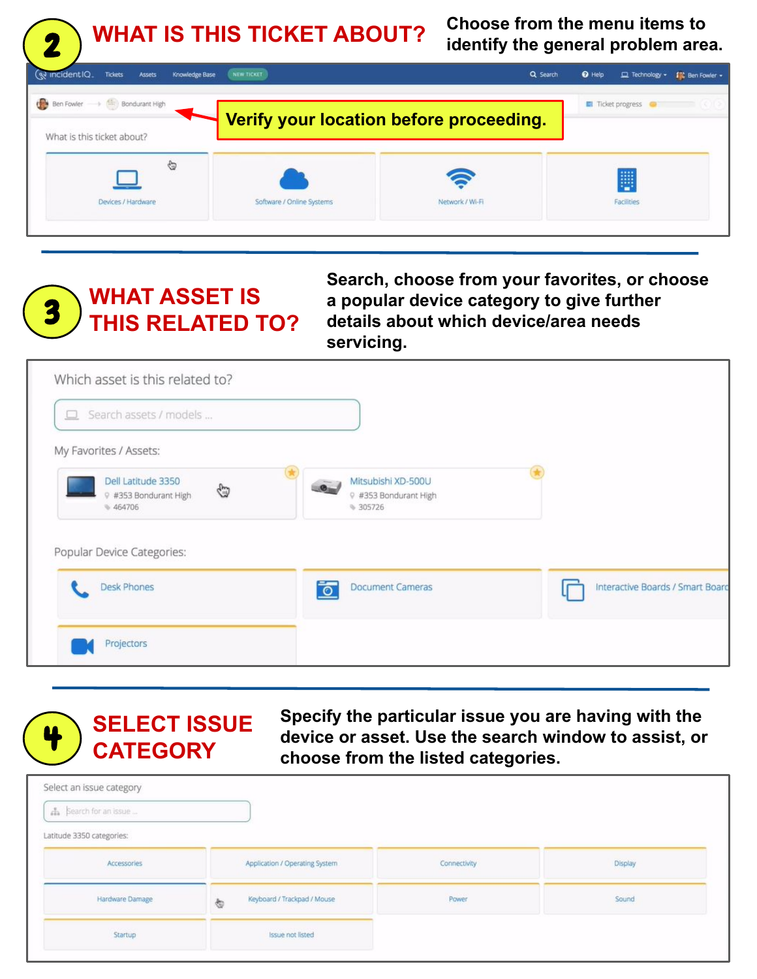**WHAT IS THIS TICKET ABOUT? Choose from the menu items to identify the general problem area.**



**WHAT ASSET IS THIS RELATED TO?** 3

2

**Search, choose from your favorites, or choose a popular device category to give further details about which device/area needs servicing.**

| $\Box$ Search assets / models                                |                                                         |                                  |
|--------------------------------------------------------------|---------------------------------------------------------|----------------------------------|
| My Favorites / Assets:                                       |                                                         |                                  |
| Dell Latitude 3350<br>€<br>9 #353 Bondurant High<br>\$464706 | Mitsubishi XD-500U<br>9 #353 Bondurant High<br>₩ 305726 |                                  |
|                                                              |                                                         |                                  |
|                                                              |                                                         |                                  |
| Popular Device Categories:<br><b>Desk Phones</b>             | <b>Document Cameras</b><br>$\circ$                      | Interactive Boards / Smart Board |



**Specify the particular issue you are having with the device or asset. Use the search window to assist, or choose from the listed categories.**

| Select an issue category  |                                  |              |         |
|---------------------------|----------------------------------|--------------|---------|
| A Search for an issue     |                                  |              |         |
| Latitude 3350 categories: |                                  |              |         |
| Accessories               | Application / Operating System   | Connectivity | Display |
| Hardware Damage           | Keyboard / Trackpad / Mouse<br>ø | Power        | Sound   |
| Startup                   | <b>Issue not listed</b>          |              |         |